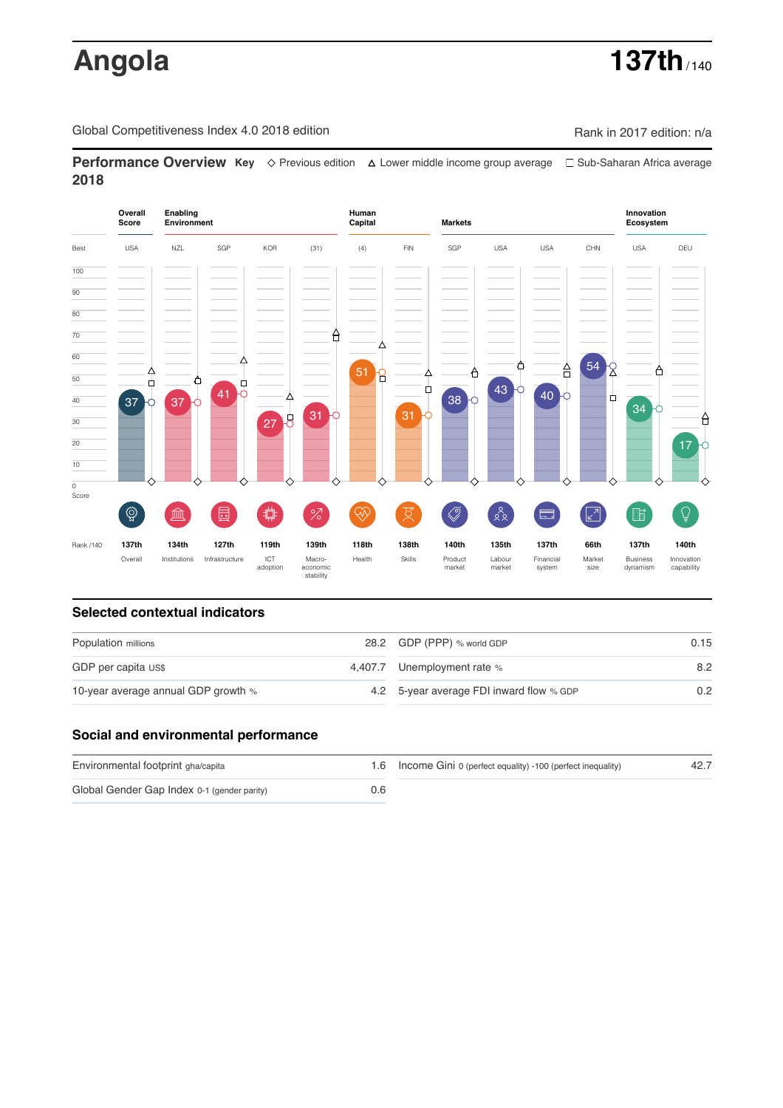# **Angola 137th** / 140

Global Competitiveness Index 4.0 2018 edition Company Company Rank in 2017 edition: n/a

**Performance Overview Key** Previous edition Lower middle income group average Sub-Saharan Africa average **2018**



# **Selected contextual indicators**

| Population millions                 | 28.2 GDP (PPP) % world GDP               | 0.15          |  |
|-------------------------------------|------------------------------------------|---------------|--|
| GDP per capita US\$                 | 4,407.7 Unemployment rate %              | 8.2           |  |
| 10-year average annual GDP growth % | 4.2 5-year average FDI inward flow % GDP | $0.2^{\circ}$ |  |

### **Social and environmental performance**

| Environmental footprint gha/capita          |     | 1.6 Income Gini 0 (perfect equality) -100 (perfect inequality) | 42.7 |
|---------------------------------------------|-----|----------------------------------------------------------------|------|
| Global Gender Gap Index 0-1 (gender parity) | 0.6 |                                                                |      |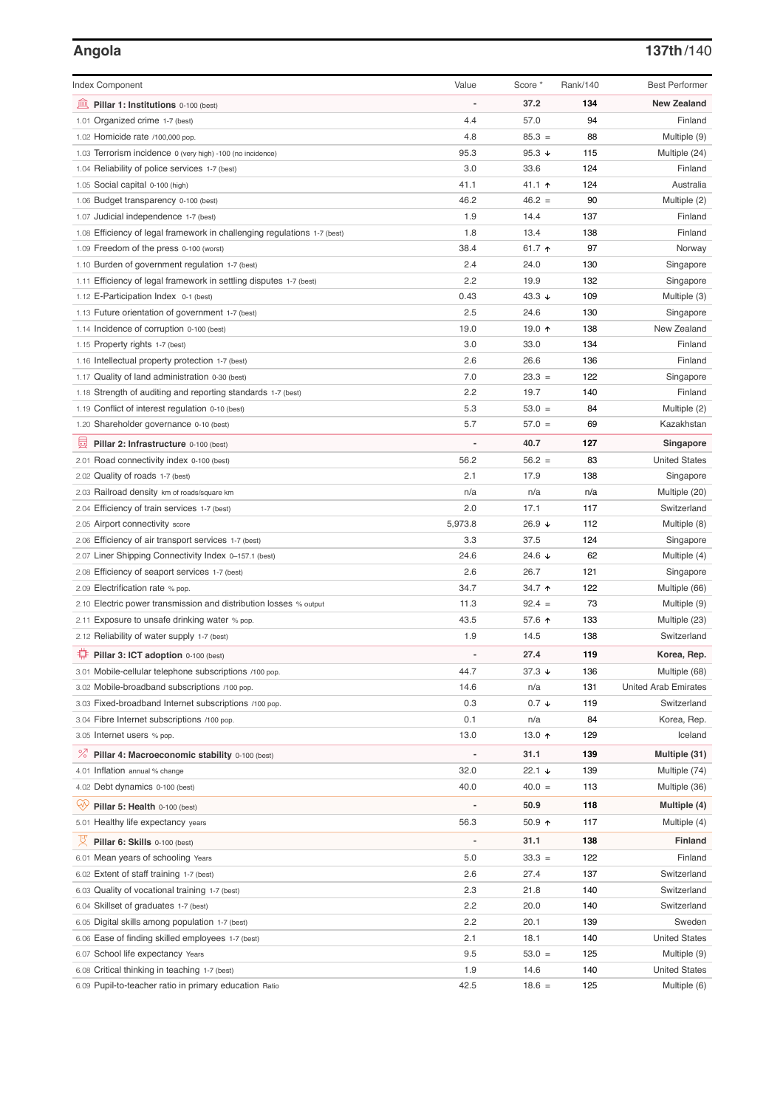# **Angola 137th**/140

| <b>Index Component</b>                                                   | Value          | Score *         | Rank/140 | <b>Best Performer</b>       |
|--------------------------------------------------------------------------|----------------|-----------------|----------|-----------------------------|
| 無<br>Pillar 1: Institutions 0-100 (best)                                 |                | 37.2            | 134      | <b>New Zealand</b>          |
| 1.01 Organized crime 1-7 (best)                                          | 4.4            | 57.0            | 94       | Finland                     |
| 1.02 Homicide rate /100,000 pop.                                         | 4.8            | $85.3 =$        | 88       | Multiple (9)                |
| 1.03 Terrorism incidence 0 (very high) -100 (no incidence)               | 95.3           | 95.3 $\sqrt{ }$ | 115      | Multiple (24)               |
| 1.04 Reliability of police services 1-7 (best)                           | 3.0            | 33.6            | 124      | Finland                     |
| 1.05 Social capital 0-100 (high)                                         | 41.1           | 41.1 $\uparrow$ | 124      | Australia                   |
| 1.06 Budget transparency 0-100 (best)                                    | 46.2           | $46.2 =$        | 90       | Multiple (2)                |
| 1.07 Judicial independence 1-7 (best)                                    | 1.9            | 14.4            | 137      | Finland                     |
| 1.08 Efficiency of legal framework in challenging regulations 1-7 (best) | 1.8            | 13.4            | 138      | Finland                     |
| 1.09 Freedom of the press 0-100 (worst)                                  | 38.4           | 61.7 $\uparrow$ | 97       | Norway                      |
| 1.10 Burden of government regulation 1-7 (best)                          | 2.4            | 24.0            | 130      | Singapore                   |
| 1.11 Efficiency of legal framework in settling disputes 1-7 (best)       | 2.2            | 19.9            | 132      | Singapore                   |
| 1.12 E-Participation Index 0-1 (best)                                    | 0.43           | 43.3 $\sqrt{ }$ | 109      | Multiple (3)                |
| 1.13 Future orientation of government 1-7 (best)                         | 2.5            | 24.6            | 130      | Singapore                   |
| 1.14 Incidence of corruption 0-100 (best)                                | 19.0           | 19.0 $\uparrow$ | 138      | New Zealand                 |
| 1.15 Property rights 1-7 (best)                                          | 3.0            | 33.0            | 134      | Finland                     |
| 1.16 Intellectual property protection 1-7 (best)                         | 2.6            | 26.6            | 136      | Finland                     |
| 1.17 Quality of land administration 0-30 (best)                          | 7.0            | $23.3 =$        | 122      | Singapore                   |
| 1.18 Strength of auditing and reporting standards 1-7 (best)             | 2.2            | 19.7            | 140      | Finland                     |
| 1.19 Conflict of interest regulation 0-10 (best)                         | 5.3            | $53.0 =$        | 84       | Multiple (2)                |
| 1.20 Shareholder governance 0-10 (best)                                  | 5.7            | $57.0 =$        | 69       | Kazakhstan                  |
| 囩<br>Pillar 2: Infrastructure 0-100 (best)                               | $\overline{a}$ | 40.7            | 127      | Singapore                   |
| 2.01 Road connectivity index 0-100 (best)                                | 56.2           | $56.2 =$        | 83       | <b>United States</b>        |
| 2.02 Quality of roads 1-7 (best)                                         | 2.1            | 17.9            | 138      | Singapore                   |
| 2.03 Railroad density km of roads/square km                              | n/a            | n/a             | n/a      | Multiple (20)               |
| 2.04 Efficiency of train services 1-7 (best)                             | 2.0            | 17.1            | 117      | Switzerland                 |
| 2.05 Airport connectivity score                                          | 5,973.8        | 26.9 ↓          | 112      | Multiple (8)                |
| 2.06 Efficiency of air transport services 1-7 (best)                     | 3.3            | 37.5            | 124      | Singapore                   |
| 2.07 Liner Shipping Connectivity Index 0-157.1 (best)                    | 24.6           | 24.6 $\sqrt{ }$ | 62       | Multiple (4)                |
| 2.08 Efficiency of seaport services 1-7 (best)                           | 2.6            | 26.7            | 121      | Singapore                   |
| 2.09 Electrification rate % pop.                                         | 34.7           | 34.7 $\uparrow$ | 122      | Multiple (66)               |
| 2.10 Electric power transmission and distribution losses % output        | 11.3           | $92.4 =$        | 73       | Multiple (9)                |
| 2.11 Exposure to unsafe drinking water % pop.                            | 43.5           | 57.6 ↑          | 133      | Multiple (23)               |
| 2.12 Reliability of water supply 1-7 (best)                              | 1.9            | 14.5            | 138      | Switzerland                 |
| ₩<br>Pillar 3: ICT adoption 0-100 (best)                                 |                | 27.4            | 119      | Korea, Rep.                 |
| 3.01 Mobile-cellular telephone subscriptions /100 pop.                   | 44.7           | 37.3 $\sqrt{ }$ | 136      | Multiple (68)               |
| 3.02 Mobile-broadband subscriptions /100 pop.                            | 14.6           | n/a             | 131      | <b>United Arab Emirates</b> |
| 3.03 Fixed-broadband Internet subscriptions /100 pop.                    | 0.3            | $0.7 \div$      | 119      | Switzerland                 |
| 3.04 Fibre Internet subscriptions /100 pop.                              | 0.1            | n/a             | 84       | Korea, Rep.                 |
| 3.05 Internet users % pop.                                               | 13.0           | 13.0 个          | 129      | Iceland                     |
| <sup>%</sup> Pillar 4: Macroeconomic stability 0-100 (best)              |                | 31.1            | 139      | Multiple (31)               |
| 4.01 Inflation annual % change                                           | 32.0           | 22.1 $\sqrt{ }$ | 139      | Multiple (74)               |
| 4.02 Debt dynamics 0-100 (best)                                          | 40.0           | $40.0 =$        | 113      | Multiple (36)               |
| ųÿ                                                                       |                | 50.9            | 118      |                             |
| Pillar 5: Health 0-100 (best)                                            |                |                 |          | Multiple (4)                |
| 5.01 Healthy life expectancy years                                       | 56.3           | $50.9$ 1        | 117      | Multiple (4)                |
| 섯<br>Pillar 6: Skills 0-100 (best)                                       |                | 31.1            | 138      | <b>Finland</b>              |
| 6.01 Mean years of schooling Years                                       | 5.0            | $33.3 =$        | 122      | Finland                     |
| 6.02 Extent of staff training 1-7 (best)                                 | 2.6            | 27.4            | 137      | Switzerland                 |
| 6.03 Quality of vocational training 1-7 (best)                           | 2.3            | 21.8            | 140      | Switzerland                 |
| 6.04 Skillset of graduates 1-7 (best)                                    | 2.2            | 20.0            | 140      | Switzerland                 |
| 6.05 Digital skills among population 1-7 (best)                          | 2.2            | 20.1            | 139      | Sweden                      |
| 6.06 Ease of finding skilled employees 1-7 (best)                        | 2.1            | 18.1            | 140      | <b>United States</b>        |
| School life expectancy Years<br>6.07                                     | 9.5            | $53.0 =$        | 125      | Multiple (9)                |
| 6.08 Critical thinking in teaching 1-7 (best)                            | 1.9            | 14.6            | 140      | <b>United States</b>        |
| 6.09 Pupil-to-teacher ratio in primary education Ratio                   | 42.5           | $18.6 =$        | 125      | Multiple (6)                |